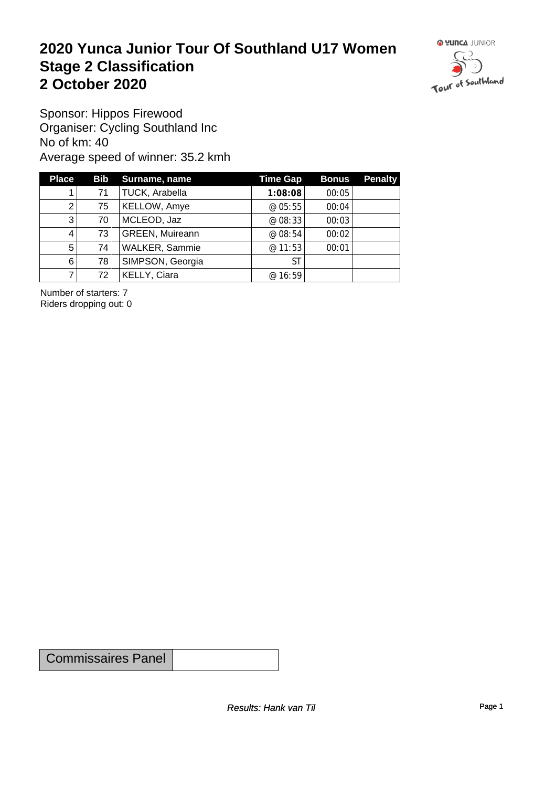#### **2020 Yunca Junior Tour Of Southland U17 Women** Stage 2 Classification<br>
2 October 2020 **2 October 2020**



Sponsor: Hippos Firewood Organiser: Cycling Southland Inc No of km: 40 Average speed of winner: 35.2 kmh

| <b>Place</b>   |    | Bib Surname, name      | Time Gap  | <b>Bonus</b> | <b>Penalty</b> |
|----------------|----|------------------------|-----------|--------------|----------------|
|                | 71 | TUCK, Arabella         | 1:08:08   | 00:05        |                |
| $\overline{2}$ | 75 | KELLOW, Amye           | @ $05:55$ | 00:04        |                |
| 3              | 70 | MCLEOD, Jaz            | @ 08:33   | 00:03        |                |
| 4              | 73 | <b>GREEN, Muireann</b> | @ 08:54   | 00:02        |                |
| $5^{\circ}$    | 74 | <b>WALKER, Sammie</b>  | @ 11:53   | 00:01        |                |
| 6              | 78 | SIMPSON, Georgia       | ST        |              |                |
|                | 72 | KELLY, Ciara           | @ 16:59   |              |                |

Number of starters: 7 Riders dropping out: 0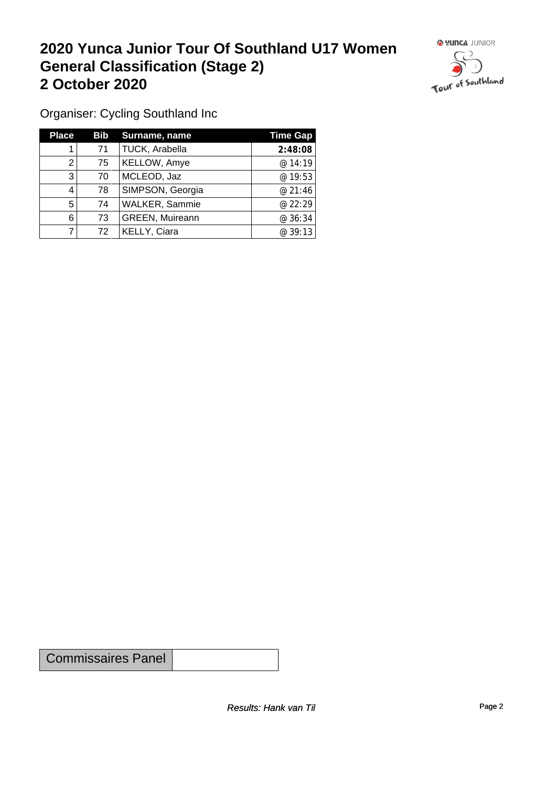#### **2020 Yunca Junior Tour Of Southland U17 Women General Classification (Stage 2)**<br>
2 October 2020 **2 October 2020**



Organiser: Cycling Southland Inc

| <b>Place</b> | Bib | Surname, name          | <b>Time Gap</b> |
|--------------|-----|------------------------|-----------------|
|              | 71  | TUCK, Arabella         | 2:48:08         |
| 2            | 75  | KELLOW, Amye           | @14:19          |
| 3            | 70  | MCLEOD, Jaz            | @ 19:53         |
| 4            | 78  | SIMPSON, Georgia       | @ 21:46         |
| 5            | 74  | <b>WALKER, Sammie</b>  | @ 22:29         |
| 6            | 73  | <b>GREEN, Muireann</b> | @ 36:34         |
|              | 72  | KELLY, Ciara           | @ 39:13         |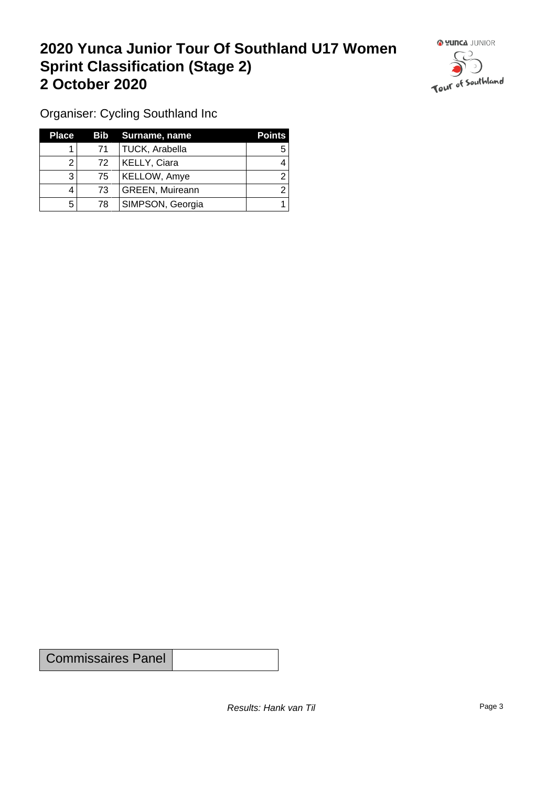## **2020 Yunca Junior Tour Of Southland U17 Women Sprint Classification (Stage 2) 2 October 2020**



Organiser: Cycling Southland Inc

| <b>Place</b> |     | <b>Bib</b> Surname, name | <b>Points</b> |
|--------------|-----|--------------------------|---------------|
|              | 71  | <b>TUCK, Arabella</b>    |               |
|              | 72. | <b>KELLY, Ciara</b>      |               |
| 3            | 75  | KELLOW, Amye             |               |
| 4            | 73. | <b>GREEN, Muireann</b>   |               |
| 5            | 78  | SIMPSON, Georgia         |               |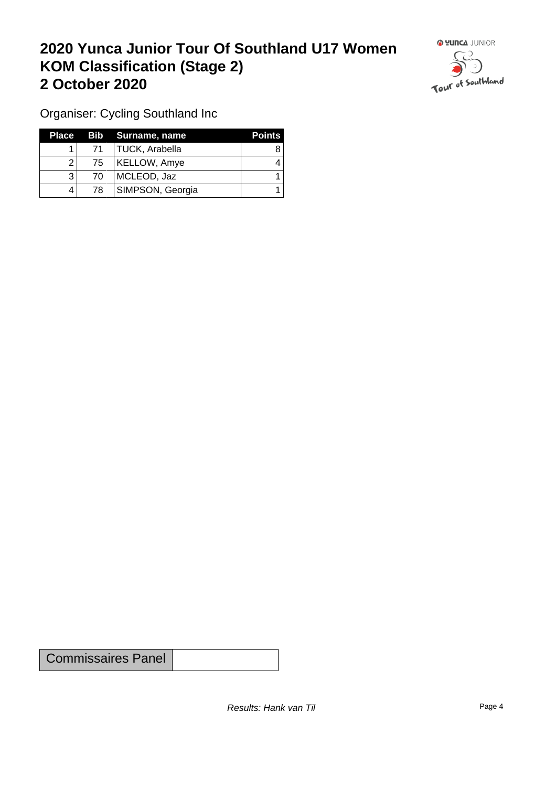## **2020 Yunca Junior Tour Of Southland U17 Women KOM Classification (Stage 2) 2 October 2020**



Organiser: Cycling Southland Inc

| Place |    | Bib Surname, name | <b>Points</b> |
|-------|----|-------------------|---------------|
|       | 71 | TUCK, Arabella    |               |
| 2     | 75 | KELLOW, Amye      |               |
|       | 70 | MCLEOD, Jaz       |               |
|       | 78 | SIMPSON, Georgia  |               |